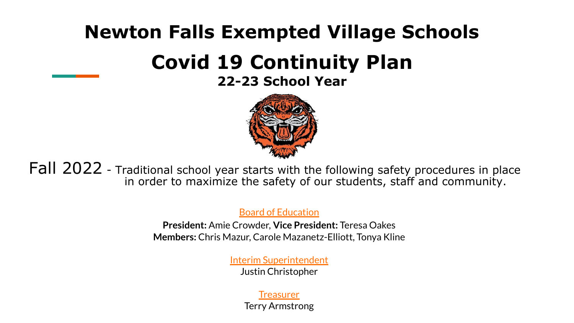## **Newton Falls Exempted Village Schools**

# **Covid 19 Continuity Plan**

## **22-23 School Year**



Fall 2022 - Traditional school year starts with the following safety procedures in place in order to maximize the safety of our students, staff and community.

Board of Education

**President:** Amie Crowder, **Vice President:** Teresa Oakes **Members:** Chris Mazur, Carole Mazanetz-Elliott, Tonya Kline

> Interim Superintendent Justin Christopher

## **Treasurer**

Terry Armstrong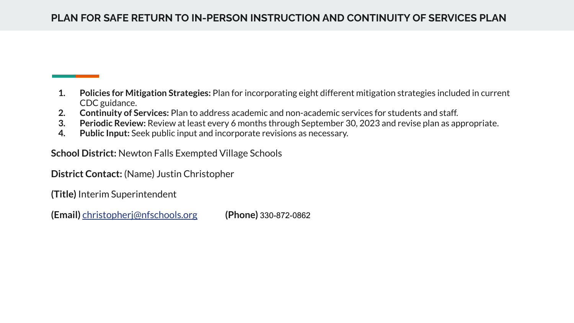- **1. Policies for Mitigation Strategies:** Plan for incorporating eight different mitigation strategies included in current CDC guidance.
- **2. Continuity of Services:** Plan to address academic and non-academic services for students and staff.
- **3. Periodic Review:** Review at least every 6 months through September 30, 2023 and revise plan as appropriate.
- **4. Public Input:** Seek public input and incorporate revisions as necessary.

**School District:** Newton Falls Exempted Village Schools

**District Contact:** (Name) Justin Christopher

**(Title)** Interim Superintendent

**(Email)** [christopherj@nfschools.org](mailto:christopherj@nfschools.org) **(Phone)** 330-872-0862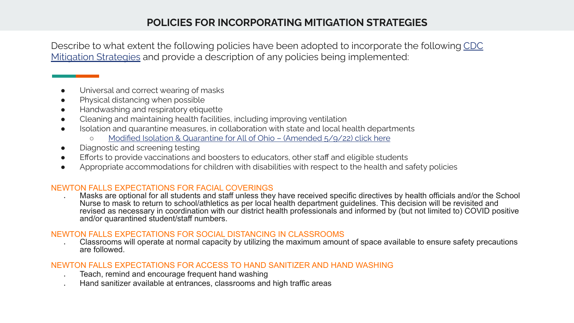## **POLICIES FOR INCORPORATING MITIGATION STRATEGIES**

Describe to what extent the following policies have been adopted to incorporate the following [CDC](https://www.cdc.gov/coronavirus/2019-ncov/community/schools-childcare/operation-strategy.html) [Mitigation Strategies](https://www.cdc.gov/coronavirus/2019-ncov/community/schools-childcare/operation-strategy.html) and provide a description of any policies being implemented:

- Universal and correct wearing of masks
- Physical distancing when possible
- Handwashing and respiratory etiquette
- Cleaning and maintaining health facilities, including improving ventilation
- Isolation and quarantine measures, in collaboration with state and local health departments
	- [Modified Isolation & Quarantine for All of Ohio \(Amended 5/9/22\) click here](https://drive.google.com/file/d/1yz4xlZPE_WaVIJaCAGkLEupR4hFwx2lU/view?usp=sharing)
- Diagnostic and screening testing
- **•** Efforts to provide vaccinations and boosters to educators, other staff and eligible students
- Appropriate accommodations for children with disabilities with respect to the health and safety policies

#### NEWTON FALLS EXPECTATIONS FOR FACIAL COVERINGS

Masks are optional for all students and staff unless they have received specific directives by health officials and/or the School Nurse to mask to return to school/athletics as per local health department guidelines. This decision will be revisited and revised as necessary in coordination with our district health professionals and informed by (but not limited to) COVID positive and/or quarantined student/staff numbers.

#### NEWTON FALLS EXPECTATIONS FOR SOCIAL DISTANCING IN CLASSROOMS

Classrooms will operate at normal capacity by utilizing the maximum amount of space available to ensure safety precautions are followed.

#### NEWTON FALLS EXPECTATIONS FOR ACCESS TO HAND SANITIZER AND HAND WASHING

- Teach, remind and encourage frequent hand washing
- Hand sanitizer available at entrances, classrooms and high traffic areas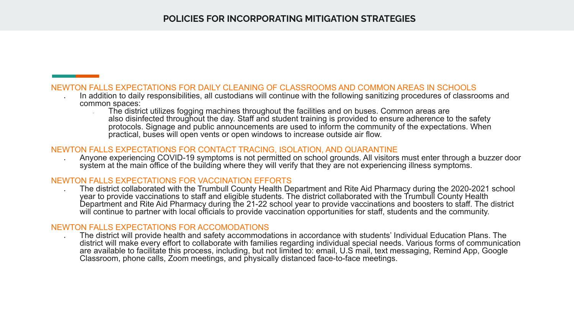#### **POLICIES FOR INCORPORATING MITIGATION STRATEGIES**

#### NEWTON FALLS EXPECTATIONS FOR DAILY CLEANING OF CLASSROOMS AND COMMON AREAS IN SCHOOLS

- In addition to daily responsibilities, all custodians will continue with the following sanitizing procedures of classrooms and common spaces:
	- The district utilizes fogging machines throughout the facilities and on buses. Common areas are also disinfected throughout the day. Staff and student training is provided to ensure adherence to the safety protocols. Signage and public announcements are used to inform the community of the expectations. When practical, buses will open vents or open windows to increase outside air flow.

#### NEWTON FALLS EXPECTATIONS FOR CONTACT TRACING, ISOLATION, AND QUARANTINE

Anyone experiencing COVID-19 symptoms is not permitted on school grounds. All visitors must enter through a buzzer door system at the main office of the building where they will verify that they are not experiencing illness symptoms.

#### NEWTON FALLS EXPECTATIONS FOR VACCINATION EFFORTS

The district collaborated with the Trumbull County Health Department and Rite Aid Pharmacy during the 2020-2021 school year to provide vaccinations to staff and eligible students. The district collaborated with the Trumbull County Health Department and Rite Aid Pharmacy during the 21-22 school year to provide vaccinations and boosters to staff. The district will continue to partner with local officials to provide vaccination opportunities for staff, students and the community.

#### NEWTON FALLS EXPECTATIONS FOR ACCOMODATIONS

The district will provide health and safety accommodations in accordance with students' Individual Education Plans. The district will make every effort to collaborate with families regarding individual special needs. Various forms of communication are available to facilitate this process, including, but not limited to: email, U.S mail, text messaging, Remind App, Google Classroom, phone calls, Zoom meetings, and physically distanced face-to-face meetings.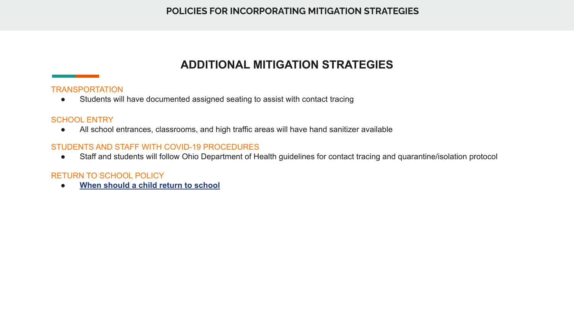## **ADDITIONAL MITIGATION STRATEGIES**

#### **TRANSPORTATION**

● Students will have documented assigned seating to assist with contact tracing

#### SCHOOL ENTRY

● All school entrances, classrooms, and high traffic areas will have hand sanitizer available

#### STUDENTS AND STAFF WITH COVID-19 PROCEDURES

● Staff and students will follow Ohio Department of Health guidelines for contact tracing and quarantine/isolation protocol

#### RETURN TO SCHOOL POLICY

**[When should a child return to school](http://www.newton-falls.k12.oh.us/images/293/StayHome.pdf)**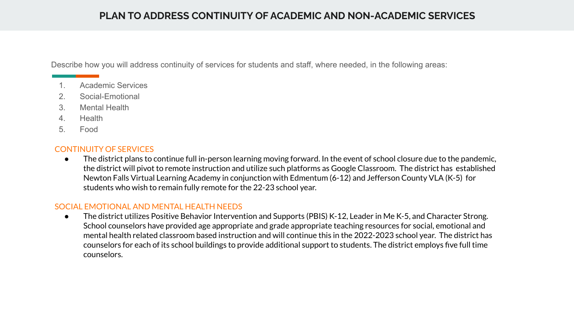## **PLAN TO ADDRESS CONTINUITY OF ACADEMIC AND NON-ACADEMIC SERVICES**

Describe how you will address continuity of services for students and staff, where needed, in the following areas:

- 1. Academic Services
- 2. Social-Emotional
- 3. Mental Health
- 4. Health
- 5. Food

#### CONTINUITY OF SERVICES

● The district plans to continue full in-person learning moving forward. In the event of school closure due to the pandemic, the district will pivot to remote instruction and utilize such platforms as Google Classroom. The district has established Newton Falls Virtual Learning Academy in conjunction with Edmentum (6-12) and Jefferson County VLA (K-5) for students who wish to remain fully remote for the 22-23 school year.

#### SOCIAL EMOTIONAL AND MENTAL HEALTH NEEDS

● The district utilizes Positive Behavior Intervention and Supports (PBIS) K-12, Leader in Me K-5, and Character Strong. School counselors have provided age appropriate and grade appropriate teaching resources for social, emotional and mental health related classroom based instruction and will continue this in the 2022-2023 school year. The district has counselors for each of its school buildings to provide additional support to students. The district employs five full time counselors.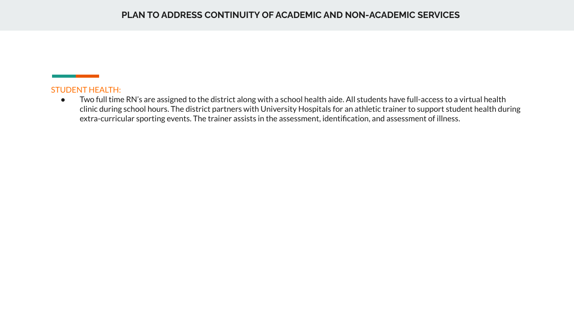#### STUDENT HEALTH:

● Two full time RN's are assigned to the district along with a school health aide. All students have full-access to a virtual health clinic during school hours. The district partners with University Hospitals for an athletic trainer to support student health during extra-curricular sporting events. The trainer assists in the assessment, identification, and assessment of illness.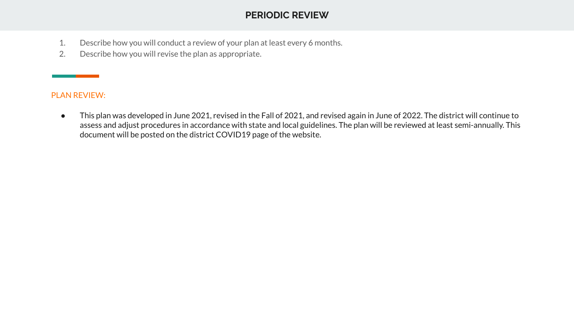## **PERIODIC REVIEW**

- 1. Describe how you will conduct a review of your plan at least every 6 months.
- 2. Describe how you will revise the plan as appropriate.

#### PLAN REVIEW:

● This plan was developed in June 2021, revised in the Fall of 2021, and revised again in June of 2022. The district will continue to assess and adjust procedures in accordance with state and local guidelines. The plan will be reviewed at least semi-annually. This document will be posted on the district COVID19 page of the website.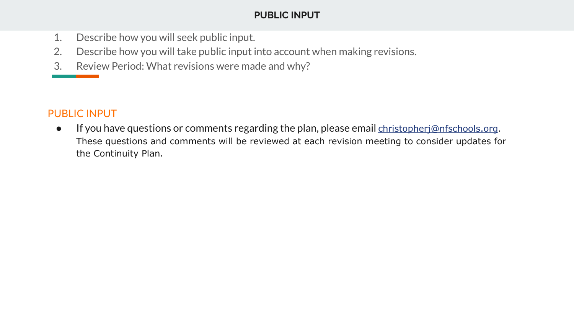## **PUBLIC INPUT**

- 1. Describe how you will seek public input.
- 2. Describe how you will take public input into account when making revisions.
- 3. Review Period: What revisions were made and why?

## PUBLIC INPUT

● If you have questions or comments regarding the plan, please email [christopherj@nfschools.org.](mailto:christopherj@nfschools.org) These questions and comments will be reviewed at each revision meeting to consider updates for the Continuity Plan.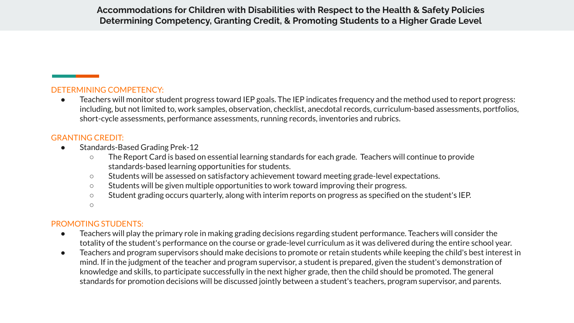**Accommodations for Children with Disabilities with Respect to the Health & Safety Policies Determining Competency, Granting Credit, & Promoting Students to a Higher Grade Level**

#### DETERMINING COMPETENCY:

Teachers will monitor student progress toward IEP goals. The IEP indicates frequency and the method used to report progress: including, but not limited to, work samples, observation, checklist, anecdotal records, curriculum-based assessments, portfolios, short-cycle assessments, performance assessments, running records, inventories and rubrics.

#### GRANTING CREDIT:

- Standards-Based Grading Prek-12
	- The Report Card is based on essential learning standards for each grade. Teachers will continue to provide standards-based learning opportunities for students.
	- Students will be assessed on satisfactory achievement toward meeting grade-level expectations.
	- Students will be given multiple opportunities to work toward improving their progress.
	- Student grading occurs quarterly, along with interim reports on progress as specified on the student's IEP.

 $\circ$ 

#### PROMOTING STUDENTS:

- Teachers will play the primary role in making grading decisions regarding student performance. Teachers will consider the totality of the student's performance on the course or grade-level curriculum as it was delivered during the entire school year.
- Teachers and program supervisors should make decisions to promote or retain students while keeping the child's best interest in mind. If in the judgment of the teacher and program supervisor, a student is prepared, given the student's demonstration of knowledge and skills, to participate successfully in the next higher grade, then the child should be promoted. The general standards for promotion decisions will be discussed jointly between a student's teachers, program supervisor, and parents.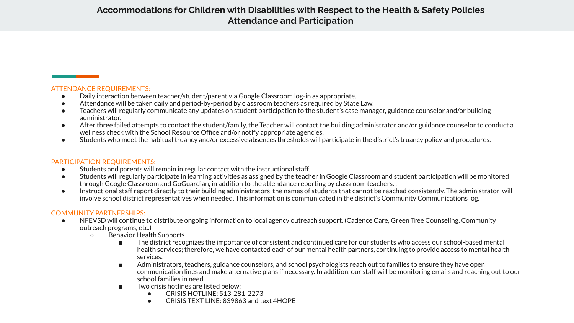### **Accommodations for Children with Disabilities with Respect to the Health & Safety Policies Attendance and Participation**

#### ATTENDANCE REQUIREMENTS:

- Daily interaction between teacher/student/parent via Google Classroom log-in as appropriate.
- Attendance will be taken daily and period-by-period by classroom teachers as required by State Law.
- Teachers will regularly communicate any updates on student participation to the student's case manager, guidance counselor and/or building administrator.
- After three failed attempts to contact the student/family, the Teacher will contact the building administrator and/or guidance counselor to conduct a wellness check with the School Resource Office and/or notify appropriate agencies.
- Students who meet the habitual truancy and/or excessive absences thresholds will participate in the district's truancy policy and procedures.

#### PARTICIPATION REQUIREMENTS:

- Students and parents will remain in regular contact with the instructional staff.
- Students will regularly participate in learning activities as assigned by the teacher in Google Classroom and student participation will be monitored through Google Classroom and GoGuardian, in addition to the attendance reporting by classroom teachers. .
- Instructional staff report directly to their building administrators the names of students that cannot be reached consistently. The administrator will involve school district representatives when needed. This information is communicated in the district's Community Communications log.

#### COMMUNITY PARTNERSHIPS:

- NFEVSD will continue to distribute ongoing information to local agency outreach support. (Cadence Care, Green Tree Counseling, Community outreach programs, etc.)
	- Behavior Health Supports
		- The district recognizes the importance of consistent and continued care for our students who access our school-based mental health services; therefore, we have contacted each of our mental health partners, continuing to provide access to mental health services.
		- Administrators, teachers, guidance counselors, and school psychologists reach out to families to ensure they have open communication lines and make alternative plans if necessary. In addition, our staff will be monitoring emails and reaching out to our school families in need.
		- Two crisis hotlines are listed below:
			- CRISIS HOTLINE: 513-281-2273
			- CRISIS TEXT LINE: 839863 and text 4HOPE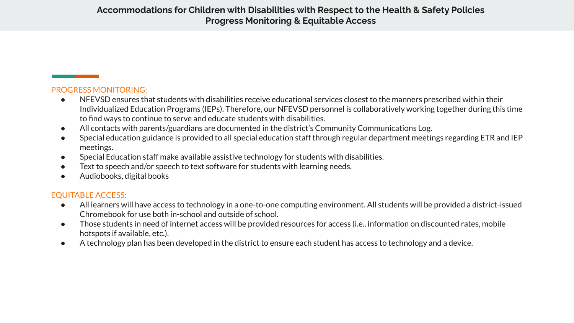#### PROGRESS MONITORING:

- NFEVSD ensures that students with disabilities receive educational services closest to the manners prescribed within their Individualized Education Programs (IEPs). Therefore, our NFEVSD personnel is collaboratively working together during this time to find ways to continue to serve and educate students with disabilities.
- All contacts with parents/guardians are documented in the district's Community Communications Log.
- Special education guidance is provided to all special education staff through regular department meetings regarding ETR and IEP meetings.
- Special Education staff make available assistive technology for students with disabilities.
- Text to speech and/or speech to text software for students with learning needs.
- Audiobooks, digital books

#### EQUITABLE ACCESS:

- All learners will have access to technology in a one-to-one computing environment. All students will be provided a district-issued Chromebook for use both in-school and outside of school.
- Those students in need of internet access will be provided resources for access (i.e., information on discounted rates, mobile hotspots if available, etc.).
- A technology plan has been developed in the district to ensure each student has access to technology and a device.